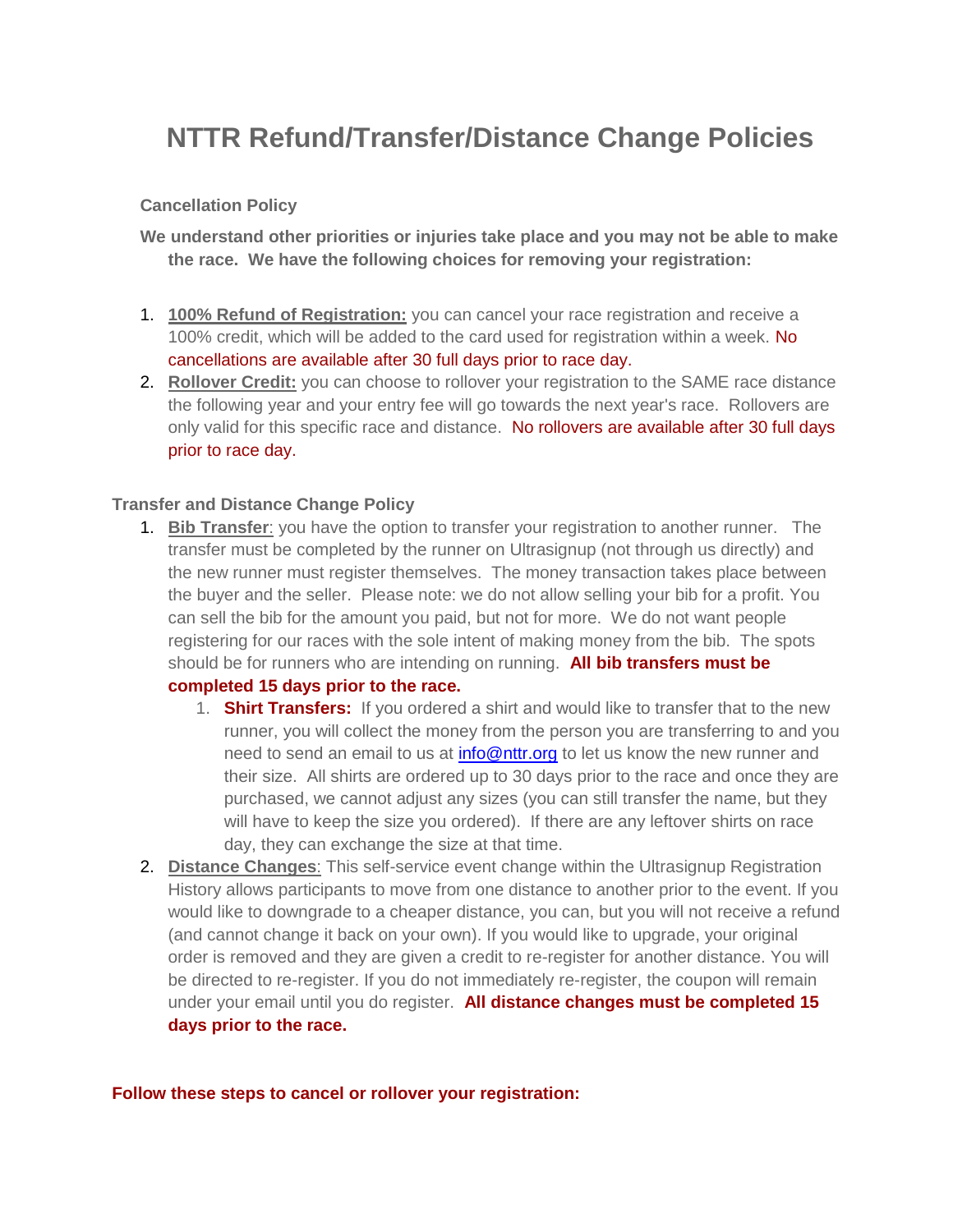# **NTTR Refund/Transfer/Distance Change Policies**

#### **Cancellation Policy**

**We understand other priorities or injuries take place and you may not be able to make the race. We have the following choices for removing your registration:**

- 1. **100% Refund of Registration:** you can cancel your race registration and receive a 100% credit, which will be added to the card used for registration within a week. No cancellations are available after 30 full days prior to race day.
- 2. **Rollover Credit:** you can choose to rollover your registration to the SAME race distance the following year and your entry fee will go towards the next year's race. Rollovers are only valid for this specific race and distance. No rollovers are available after 30 full days prior to race day.

#### **Transfer and Distance Change Policy**

1. **Bib Transfer**: you have the option to transfer your registration to another runner. The transfer must be completed by the runner on Ultrasignup (not through us directly) and the new runner must register themselves. The money transaction takes place between the buyer and the seller. Please note: we do not allow selling your bib for a profit. You can sell the bib for the amount you paid, but not for more. We do not want people registering for our races with the sole intent of making money from the bib. The spots should be for runners who are intending on running. **All bib transfers must be** 

## **completed 15 days prior to the race.**

- 1. **Shirt Transfers:** If you ordered a shirt and would like to transfer that to the new runner, you will collect the money from the person you are transferring to and you need to send an email to us at [info@nttr.org](mailto:info@nttr.org?subject=Refund-Transfer-Distance%20Change%20Inquiry) to let us know the new runner and their size. All shirts are ordered up to 30 days prior to the race and once they are purchased, we cannot adjust any sizes (you can still transfer the name, but they will have to keep the size you ordered). If there are any leftover shirts on race day, they can exchange the size at that time.
- 2. **Distance Changes**: This self-service event change within the Ultrasignup Registration History allows participants to move from one distance to another prior to the event. If you would like to downgrade to a cheaper distance, you can, but you will not receive a refund (and cannot change it back on your own). If you would like to upgrade, your original order is removed and they are given a credit to re-register for another distance. You will be directed to re-register. If you do not immediately re-register, the coupon will remain under your email until you do register. **All distance changes must be completed 15 days prior to the race.**

#### **Follow these steps to cancel or rollover your registration:**